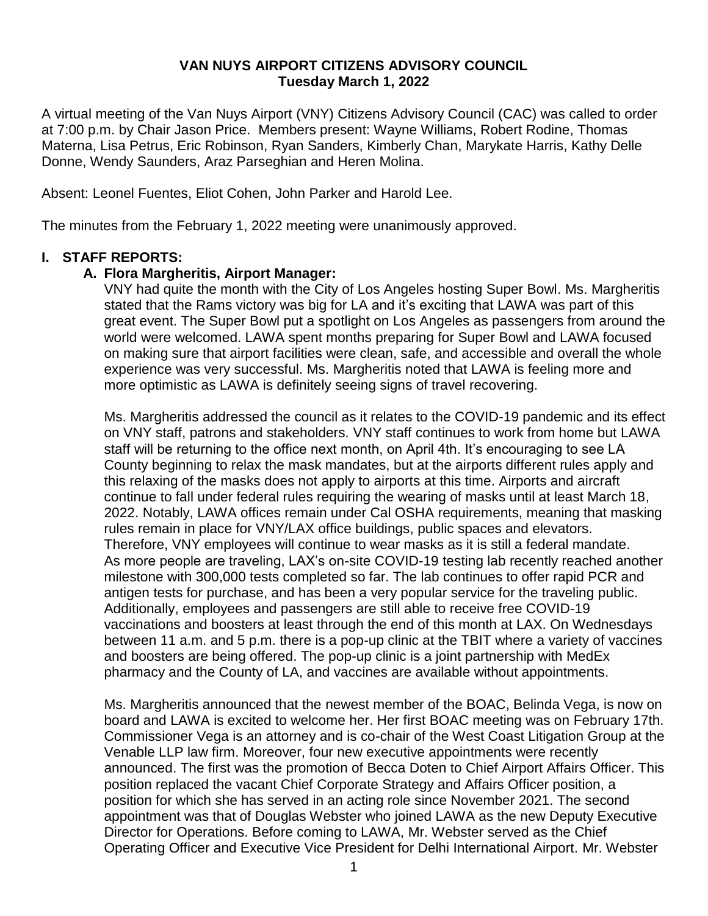### **VAN NUYS AIRPORT CITIZENS ADVISORY COUNCIL Tuesday March 1, 2022**

A virtual meeting of the Van Nuys Airport (VNY) Citizens Advisory Council (CAC) was called to order at 7:00 p.m. by Chair Jason Price. Members present: Wayne Williams, Robert Rodine, Thomas Materna, Lisa Petrus, Eric Robinson, Ryan Sanders, Kimberly Chan, Marykate Harris, Kathy Delle Donne, Wendy Saunders, Araz Parseghian and Heren Molina.

Absent: Leonel Fuentes, Eliot Cohen, John Parker and Harold Lee.

The minutes from the February 1, 2022 meeting were unanimously approved.

### **I. STAFF REPORTS:**

### **A. Flora Margheritis, Airport Manager:**

VNY had quite the month with the City of Los Angeles hosting Super Bowl. Ms. Margheritis stated that the Rams victory was big for LA and it's exciting that LAWA was part of this great event. The Super Bowl put a spotlight on Los Angeles as passengers from around the world were welcomed. LAWA spent months preparing for Super Bowl and LAWA focused on making sure that airport facilities were clean, safe, and accessible and overall the whole experience was very successful. Ms. Margheritis noted that LAWA is feeling more and more optimistic as LAWA is definitely seeing signs of travel recovering.

Ms. Margheritis addressed the council as it relates to the COVID-19 pandemic and its effect on VNY staff, patrons and stakeholders. VNY staff continues to work from home but LAWA staff will be returning to the office next month, on April 4th. It's encouraging to see LA County beginning to relax the mask mandates, but at the airports different rules apply and this relaxing of the masks does not apply to airports at this time. Airports and aircraft continue to fall under federal rules requiring the wearing of masks until at least March 18, 2022. Notably, LAWA offices remain under Cal OSHA requirements, meaning that masking rules remain in place for VNY/LAX office buildings, public spaces and elevators. Therefore, VNY employees will continue to wear masks as it is still a federal mandate. As more people are traveling, LAX's on-site COVID-19 testing lab recently reached another milestone with 300,000 tests completed so far. The lab continues to offer rapid PCR and antigen tests for purchase, and has been a very popular service for the traveling public. Additionally, employees and passengers are still able to receive free COVID-19 vaccinations and boosters at least through the end of this month at LAX. On Wednesdays between 11 a.m. and 5 p.m. there is a pop-up clinic at the TBIT where a variety of vaccines and boosters are being offered. The pop-up clinic is a joint partnership with MedEx pharmacy and the County of LA, and vaccines are available without appointments.

Ms. Margheritis announced that the newest member of the BOAC, Belinda Vega, is now on board and LAWA is excited to welcome her. Her first BOAC meeting was on February 17th. Commissioner Vega is an attorney and is co-chair of the West Coast Litigation Group at the Venable LLP law firm. Moreover, four new executive appointments were recently announced. The first was the promotion of Becca Doten to Chief Airport Affairs Officer. This position replaced the vacant Chief Corporate Strategy and Affairs Officer position, a position for which she has served in an acting role since November 2021. The second appointment was that of Douglas Webster who joined LAWA as the new Deputy Executive Director for Operations. Before coming to LAWA, Mr. Webster served as the Chief Operating Officer and Executive Vice President for Delhi International Airport. Mr. Webster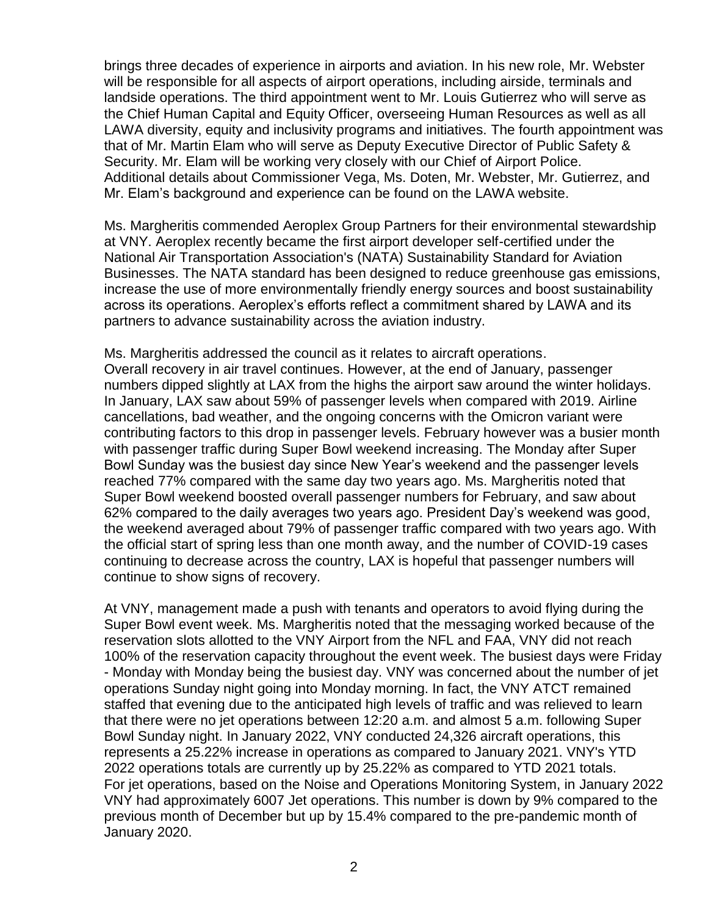brings three decades of experience in airports and aviation. In his new role, Mr. Webster will be responsible for all aspects of airport operations, including airside, terminals and landside operations. The third appointment went to Mr. Louis Gutierrez who will serve as the Chief Human Capital and Equity Officer, overseeing Human Resources as well as all LAWA diversity, equity and inclusivity programs and initiatives. The fourth appointment was that of Mr. Martin Elam who will serve as Deputy Executive Director of Public Safety & Security. Mr. Elam will be working very closely with our Chief of Airport Police. Additional details about Commissioner Vega, Ms. Doten, Mr. Webster, Mr. Gutierrez, and Mr. Elam's background and experience can be found on the LAWA website.

Ms. Margheritis commended Aeroplex Group Partners for their environmental stewardship at VNY. Aeroplex recently became the first airport developer self-certified under the National Air Transportation Association's (NATA) Sustainability Standard for Aviation Businesses. The NATA standard has been designed to reduce greenhouse gas emissions, increase the use of more environmentally friendly energy sources and boost sustainability across its operations. Aeroplex's efforts reflect a commitment shared by LAWA and its partners to advance sustainability across the aviation industry.

Ms. Margheritis addressed the council as it relates to aircraft operations. Overall recovery in air travel continues. However, at the end of January, passenger numbers dipped slightly at LAX from the highs the airport saw around the winter holidays. In January, LAX saw about 59% of passenger levels when compared with 2019. Airline cancellations, bad weather, and the ongoing concerns with the Omicron variant were contributing factors to this drop in passenger levels. February however was a busier month with passenger traffic during Super Bowl weekend increasing. The Monday after Super Bowl Sunday was the busiest day since New Year's weekend and the passenger levels reached 77% compared with the same day two years ago. Ms. Margheritis noted that Super Bowl weekend boosted overall passenger numbers for February, and saw about 62% compared to the daily averages two years ago. President Day's weekend was good, the weekend averaged about 79% of passenger traffic compared with two years ago. With the official start of spring less than one month away, and the number of COVID-19 cases continuing to decrease across the country, LAX is hopeful that passenger numbers will continue to show signs of recovery.

At VNY, management made a push with tenants and operators to avoid flying during the Super Bowl event week. Ms. Margheritis noted that the messaging worked because of the reservation slots allotted to the VNY Airport from the NFL and FAA, VNY did not reach 100% of the reservation capacity throughout the event week. The busiest days were Friday - Monday with Monday being the busiest day. VNY was concerned about the number of jet operations Sunday night going into Monday morning. In fact, the VNY ATCT remained staffed that evening due to the anticipated high levels of traffic and was relieved to learn that there were no jet operations between 12:20 a.m. and almost 5 a.m. following Super Bowl Sunday night. In January 2022, VNY conducted 24,326 aircraft operations, this represents a 25.22% increase in operations as compared to January 2021. VNY's YTD 2022 operations totals are currently up by 25.22% as compared to YTD 2021 totals. For jet operations, based on the Noise and Operations Monitoring System, in January 2022 VNY had approximately 6007 Jet operations. This number is down by 9% compared to the previous month of December but up by 15.4% compared to the pre-pandemic month of January 2020.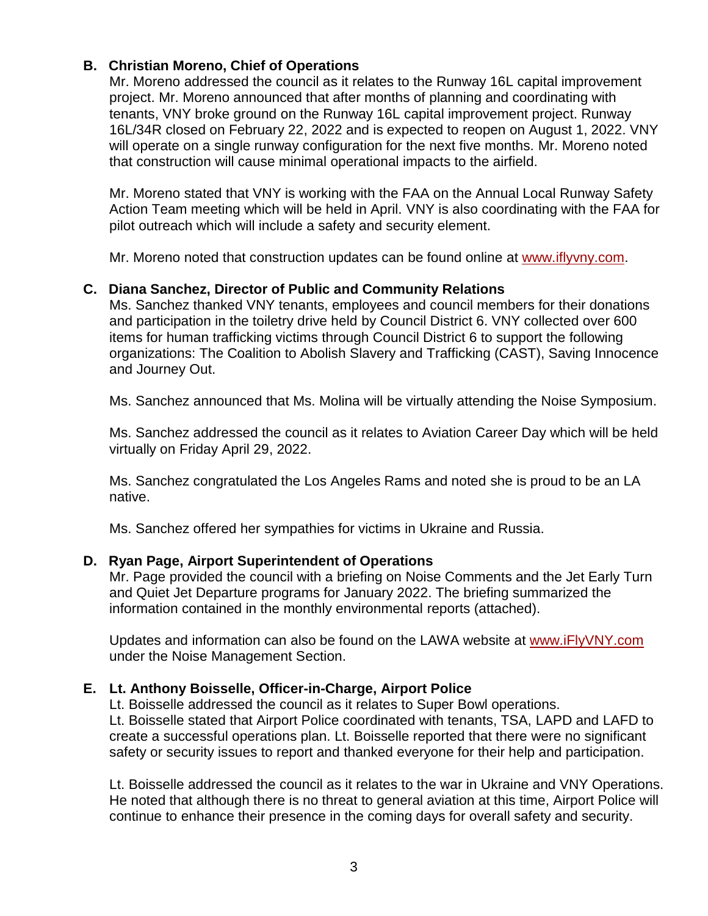## **B. Christian Moreno, Chief of Operations**

Mr. Moreno addressed the council as it relates to the Runway 16L capital improvement project. Mr. Moreno announced that after months of planning and coordinating with tenants, VNY broke ground on the Runway 16L capital improvement project. Runway 16L/34R closed on February 22, 2022 and is expected to reopen on August 1, 2022. VNY will operate on a single runway configuration for the next five months. Mr. Moreno noted that construction will cause minimal operational impacts to the airfield.

Mr. Moreno stated that VNY is working with the FAA on the Annual Local Runway Safety Action Team meeting which will be held in April. VNY is also coordinating with the FAA for pilot outreach which will include a safety and security element.

Mr. Moreno noted that construction updates can be found online at [www.iflyvny.com.](http://www.iflyvny.com/)

### **C. Diana Sanchez, Director of Public and Community Relations**

Ms. Sanchez thanked VNY tenants, employees and council members for their donations and participation in the toiletry drive held by Council District 6. VNY collected over 600 items for human trafficking victims through Council District 6 to support the following organizations: The Coalition to Abolish Slavery and Trafficking (CAST), Saving Innocence and Journey Out.

Ms. Sanchez announced that Ms. Molina will be virtually attending the Noise Symposium.

Ms. Sanchez addressed the council as it relates to Aviation Career Day which will be held virtually on Friday April 29, 2022.

Ms. Sanchez congratulated the Los Angeles Rams and noted she is proud to be an LA native.

Ms. Sanchez offered her sympathies for victims in Ukraine and Russia.

### **D. Ryan Page, Airport Superintendent of Operations**

Mr. Page provided the council with a briefing on Noise Comments and the Jet Early Turn and Quiet Jet Departure programs for January 2022. The briefing summarized the information contained in the monthly environmental reports (attached).

Updates and information can also be found on the LAWA website at [www.iFlyVNY.com](http://www.iflyvny.com/) under the Noise Management Section.

### **E. Lt. Anthony Boisselle, Officer-in-Charge, Airport Police**

Lt. Boisselle addressed the council as it relates to Super Bowl operations. Lt. Boisselle stated that Airport Police coordinated with tenants, TSA, LAPD and LAFD to

create a successful operations plan. Lt. Boisselle reported that there were no significant safety or security issues to report and thanked everyone for their help and participation.

Lt. Boisselle addressed the council as it relates to the war in Ukraine and VNY Operations. He noted that although there is no threat to general aviation at this time, Airport Police will continue to enhance their presence in the coming days for overall safety and security.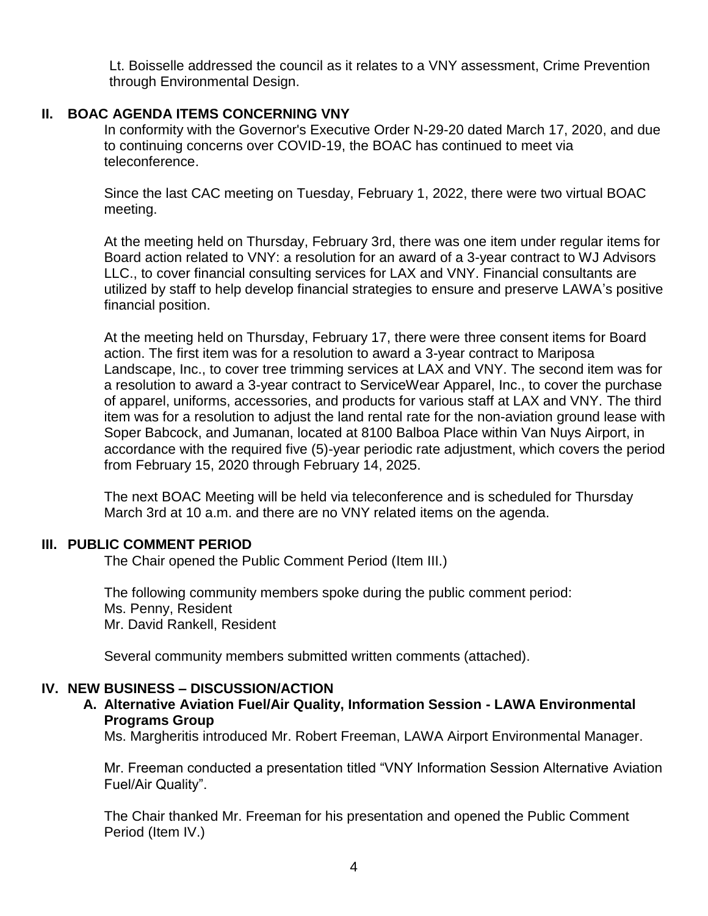Lt. Boisselle addressed the council as it relates to a VNY assessment, Crime Prevention through Environmental Design.

#### **II. BOAC AGENDA ITEMS CONCERNING VNY**

In conformity with the Governor's Executive Order N-29-20 dated March 17, 2020, and due to continuing concerns over COVID-19, the BOAC has continued to meet via teleconference.

Since the last CAC meeting on Tuesday, February 1, 2022, there were two virtual BOAC meeting.

At the meeting held on Thursday, February 3rd, there was one item under regular items for Board action related to VNY: a resolution for an award of a 3-year contract to WJ Advisors LLC., to cover financial consulting services for LAX and VNY. Financial consultants are utilized by staff to help develop financial strategies to ensure and preserve LAWA's positive financial position.

At the meeting held on Thursday, February 17, there were three consent items for Board action. The first item was for a resolution to award a 3-year contract to Mariposa Landscape, Inc., to cover tree trimming services at LAX and VNY. The second item was for a resolution to award a 3-year contract to ServiceWear Apparel, Inc., to cover the purchase of apparel, uniforms, accessories, and products for various staff at LAX and VNY. The third item was for a resolution to adjust the land rental rate for the non-aviation ground lease with Soper Babcock, and Jumanan, located at 8100 Balboa Place within Van Nuys Airport, in accordance with the required five (5)-year periodic rate adjustment, which covers the period from February 15, 2020 through February 14, 2025.

The next BOAC Meeting will be held via teleconference and is scheduled for Thursday March 3rd at 10 a.m. and there are no VNY related items on the agenda.

#### **III. PUBLIC COMMENT PERIOD**

The Chair opened the Public Comment Period (Item III.)

The following community members spoke during the public comment period: Ms. Penny, Resident Mr. David Rankell, Resident

Several community members submitted written comments (attached).

## **IV. NEW BUSINESS – DISCUSSION/ACTION**

**A. Alternative Aviation Fuel/Air Quality, Information Session - LAWA Environmental Programs Group**

Ms. Margheritis introduced Mr. Robert Freeman, LAWA Airport Environmental Manager.

Mr. Freeman conducted a presentation titled "VNY Information Session Alternative Aviation Fuel/Air Quality".

The Chair thanked Mr. Freeman for his presentation and opened the Public Comment Period (Item IV.)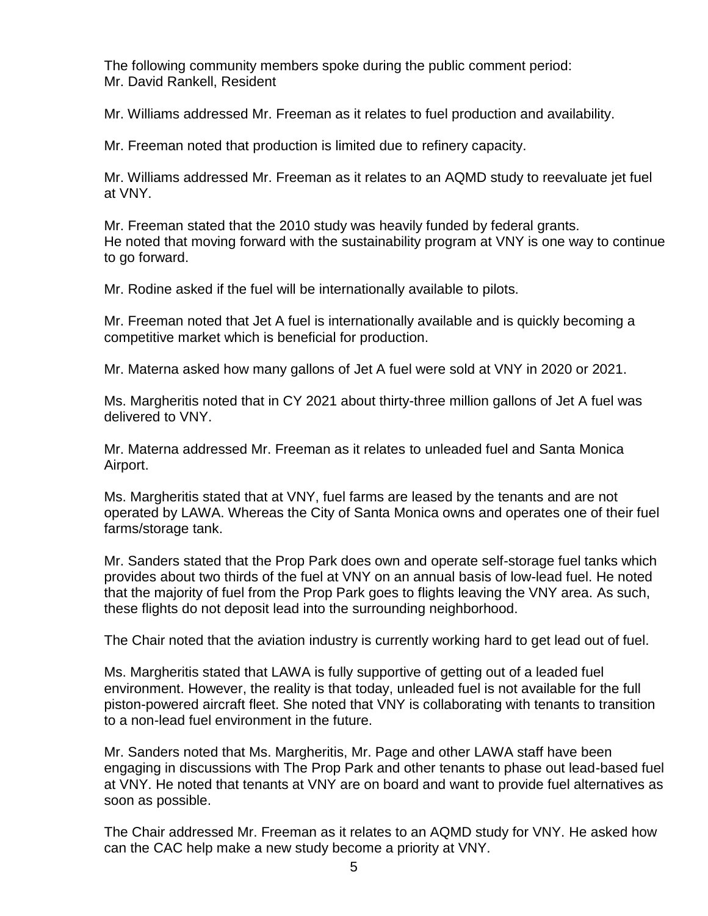The following community members spoke during the public comment period: Mr. David Rankell, Resident

Mr. Williams addressed Mr. Freeman as it relates to fuel production and availability.

Mr. Freeman noted that production is limited due to refinery capacity.

Mr. Williams addressed Mr. Freeman as it relates to an AQMD study to reevaluate jet fuel at VNY.

Mr. Freeman stated that the 2010 study was heavily funded by federal grants. He noted that moving forward with the sustainability program at VNY is one way to continue to go forward.

Mr. Rodine asked if the fuel will be internationally available to pilots.

Mr. Freeman noted that Jet A fuel is internationally available and is quickly becoming a competitive market which is beneficial for production.

Mr. Materna asked how many gallons of Jet A fuel were sold at VNY in 2020 or 2021.

Ms. Margheritis noted that in CY 2021 about thirty-three million gallons of Jet A fuel was delivered to VNY.

Mr. Materna addressed Mr. Freeman as it relates to unleaded fuel and Santa Monica Airport.

Ms. Margheritis stated that at VNY, fuel farms are leased by the tenants and are not operated by LAWA. Whereas the City of Santa Monica owns and operates one of their fuel farms/storage tank.

Mr. Sanders stated that the Prop Park does own and operate self-storage fuel tanks which provides about two thirds of the fuel at VNY on an annual basis of low-lead fuel. He noted that the majority of fuel from the Prop Park goes to flights leaving the VNY area. As such, these flights do not deposit lead into the surrounding neighborhood.

The Chair noted that the aviation industry is currently working hard to get lead out of fuel.

Ms. Margheritis stated that LAWA is fully supportive of getting out of a leaded fuel environment. However, the reality is that today, unleaded fuel is not available for the full piston-powered aircraft fleet. She noted that VNY is collaborating with tenants to transition to a non-lead fuel environment in the future.

Mr. Sanders noted that Ms. Margheritis, Mr. Page and other LAWA staff have been engaging in discussions with The Prop Park and other tenants to phase out lead-based fuel at VNY. He noted that tenants at VNY are on board and want to provide fuel alternatives as soon as possible.

The Chair addressed Mr. Freeman as it relates to an AQMD study for VNY. He asked how can the CAC help make a new study become a priority at VNY.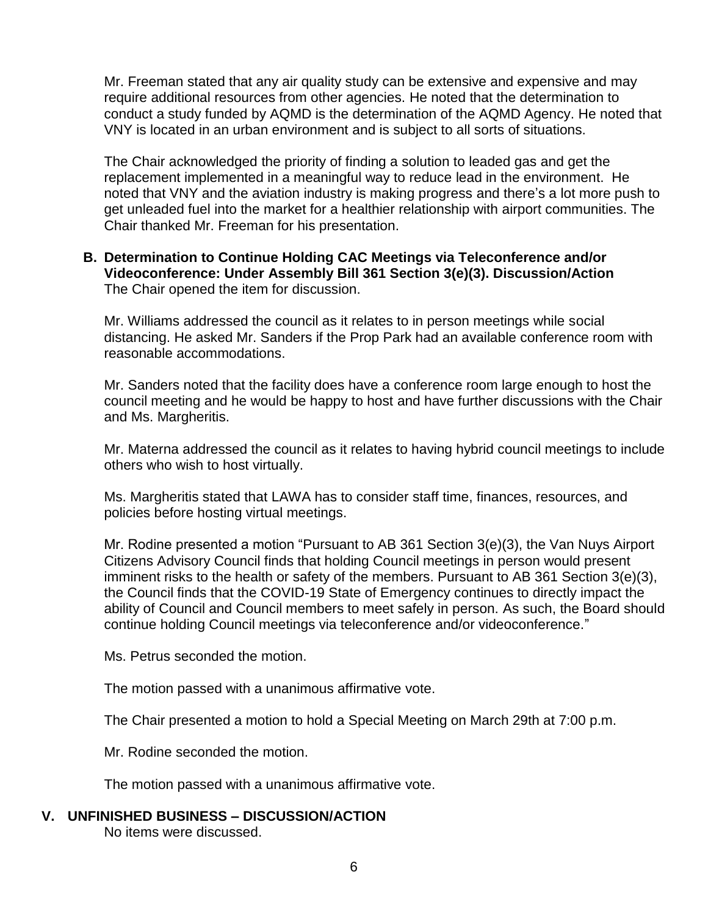Mr. Freeman stated that any air quality study can be extensive and expensive and may require additional resources from other agencies. He noted that the determination to conduct a study funded by AQMD is the determination of the AQMD Agency. He noted that VNY is located in an urban environment and is subject to all sorts of situations.

The Chair acknowledged the priority of finding a solution to leaded gas and get the replacement implemented in a meaningful way to reduce lead in the environment. He noted that VNY and the aviation industry is making progress and there's a lot more push to get unleaded fuel into the market for a healthier relationship with airport communities. The Chair thanked Mr. Freeman for his presentation.

### **B. Determination to Continue Holding CAC Meetings via Teleconference and/or Videoconference: Under Assembly Bill 361 Section 3(e)(3). Discussion/Action** The Chair opened the item for discussion.

Mr. Williams addressed the council as it relates to in person meetings while social distancing. He asked Mr. Sanders if the Prop Park had an available conference room with reasonable accommodations.

Mr. Sanders noted that the facility does have a conference room large enough to host the council meeting and he would be happy to host and have further discussions with the Chair and Ms. Margheritis.

Mr. Materna addressed the council as it relates to having hybrid council meetings to include others who wish to host virtually.

Ms. Margheritis stated that LAWA has to consider staff time, finances, resources, and policies before hosting virtual meetings.

Mr. Rodine presented a motion "Pursuant to AB 361 Section 3(e)(3), the Van Nuys Airport Citizens Advisory Council finds that holding Council meetings in person would present imminent risks to the health or safety of the members. Pursuant to AB 361 Section 3(e)(3), the Council finds that the COVID-19 State of Emergency continues to directly impact the ability of Council and Council members to meet safely in person. As such, the Board should continue holding Council meetings via teleconference and/or videoconference."

Ms. Petrus seconded the motion.

The motion passed with a unanimous affirmative vote.

The Chair presented a motion to hold a Special Meeting on March 29th at 7:00 p.m.

Mr. Rodine seconded the motion.

The motion passed with a unanimous affirmative vote.

### **V. UNFINISHED BUSINESS – DISCUSSION/ACTION**

No items were discussed.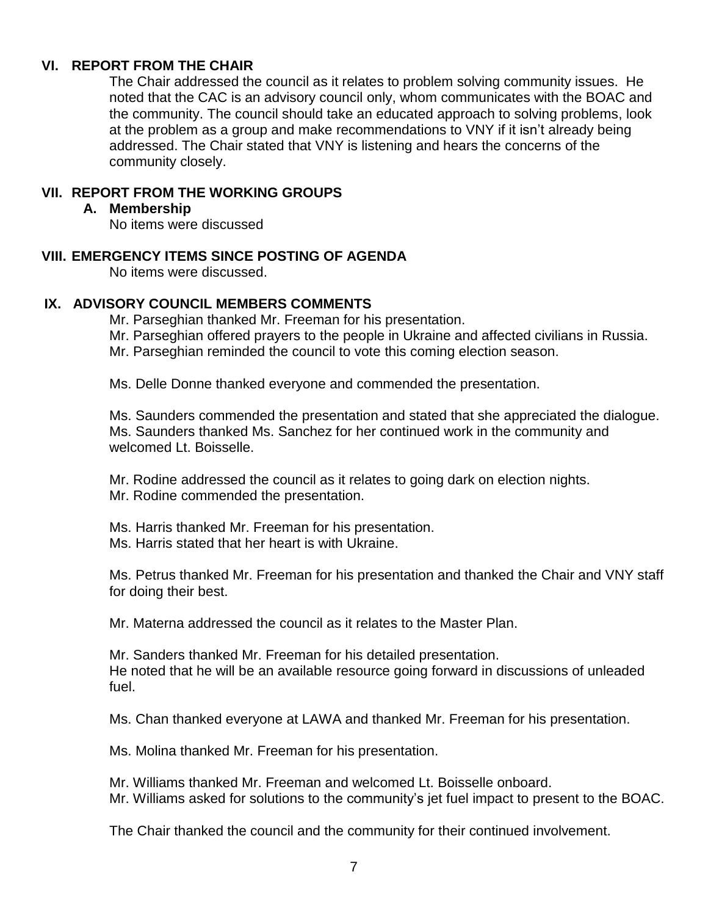### **VI. REPORT FROM THE CHAIR**

The Chair addressed the council as it relates to problem solving community issues. He noted that the CAC is an advisory council only, whom communicates with the BOAC and the community. The council should take an educated approach to solving problems, look at the problem as a group and make recommendations to VNY if it isn't already being addressed. The Chair stated that VNY is listening and hears the concerns of the community closely.

### **VII. REPORT FROM THE WORKING GROUPS**

#### **A. Membership**

No items were discussed

### **VIII. EMERGENCY ITEMS SINCE POSTING OF AGENDA**

No items were discussed.

### **IX. ADVISORY COUNCIL MEMBERS COMMENTS**

Mr. Parseghian thanked Mr. Freeman for his presentation.

Mr. Parseghian offered prayers to the people in Ukraine and affected civilians in Russia.

Mr. Parseghian reminded the council to vote this coming election season.

Ms. Delle Donne thanked everyone and commended the presentation.

Ms. Saunders commended the presentation and stated that she appreciated the dialogue. Ms. Saunders thanked Ms. Sanchez for her continued work in the community and welcomed Lt. Boisselle.

Mr. Rodine addressed the council as it relates to going dark on election nights. Mr. Rodine commended the presentation.

Ms. Harris thanked Mr. Freeman for his presentation. Ms. Harris stated that her heart is with Ukraine.

Ms. Petrus thanked Mr. Freeman for his presentation and thanked the Chair and VNY staff for doing their best.

Mr. Materna addressed the council as it relates to the Master Plan.

Mr. Sanders thanked Mr. Freeman for his detailed presentation. He noted that he will be an available resource going forward in discussions of unleaded fuel.

Ms. Chan thanked everyone at LAWA and thanked Mr. Freeman for his presentation.

Ms. Molina thanked Mr. Freeman for his presentation.

Mr. Williams thanked Mr. Freeman and welcomed Lt. Boisselle onboard. Mr. Williams asked for solutions to the community's jet fuel impact to present to the BOAC.

The Chair thanked the council and the community for their continued involvement.